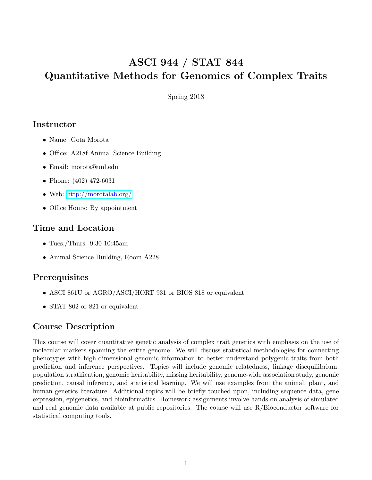# ASCI 944 / STAT 844 Quantitative Methods for Genomics of Complex Traits

Spring 2018

## **Instructor**

- Name: Gota Morota
- Office: A218f Animal Science Building
- Email: morota@unl.edu
- Phone: (402) 472-6031
- Web: <http://morotalab.org/>
- Office Hours: By appointment

# Time and Location

- Tues./Thurs. 9:30-10:45am
- Animal Science Building, Room A228

## **Prerequisites**

- ASCI 861U or AGRO/ASCI/HORT 931 or BIOS 818 or equivalent
- STAT 802 or 821 or equivalent

## Course Description

This course will cover quantitative genetic analysis of complex trait genetics with emphasis on the use of molecular markers spanning the entire genome. We will discuss statistical methodologies for connecting phenotypes with high-dimensional genomic information to better understand polygenic traits from both prediction and inference perspectives. Topics will include genomic relatedness, linkage disequilibrium, population stratification, genomic heritability, missing heritability, genome-wide association study, genomic prediction, causal inference, and statistical learning. We will use examples from the animal, plant, and human genetics literature. Additional topics will be briefly touched upon, including sequence data, gene expression, epigenetics, and bioinformatics. Homework assignments involve hands-on analysis of simulated and real genomic data available at public repositories. The course will use R/Bioconductor software for statistical computing tools.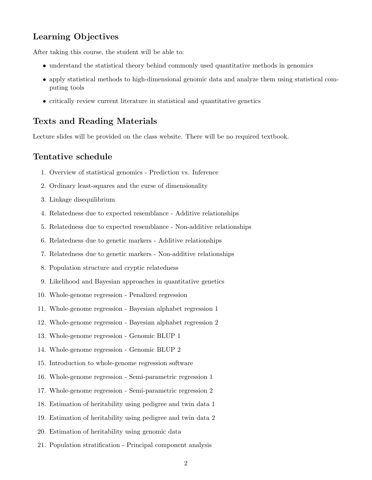## Learning Objectives

After taking this course, the student will be able to:

- understand the statistical theory behind commonly used quantitative methods in genomics
- apply statistical methods to high-dimensional genomic data and analyze them using statistical computing tools
- critically review current literature in statistical and quantitative genetics

#### Texts and Reading Materials

Lecture slides will be provided on the class website. There will be no required textbook.

#### Tentative schedule

- 1. Overview of statistical genomics Prediction vs. Inference
- 2. Ordinary least-squares and the curse of dimensionality
- 3. Linkage disequilibrium
- 4. Relatedness due to expected resemblance Additive relationships
- 5. Relatedness due to expected resemblance Non-additive relationships
- 6. Relatedness due to genetic markers Additive relationships
- 7. Relatedness due to genetic markers Non-additive relationships
- 8. Population structure and cryptic relatedness
- 9. Likelihood and Bayesian approaches in quantitative genetics
- 10. Whole-genome regression Penalized regression
- 11. Whole-genome regression Bayesian alphabet regression 1
- 12. Whole-genome regression Bayesian alphabet regression 2
- 13. Whole-genome regression Genomic BLUP 1
- 14. Whole-genome regression Genomic BLUP 2
- 15. Introduction to whole-genome regression software
- 16. Whole-genome regression Semi-parametric regression 1
- 17. Whole-genome regression Semi-parametric regression 2
- 18. Estimation of heritability using pedigree and twin data 1
- 19. Estimation of heritability using pedigree and twin data 2
- 20. Estimation of heritability using genomic data
- 21. Population stratification Principal component analysis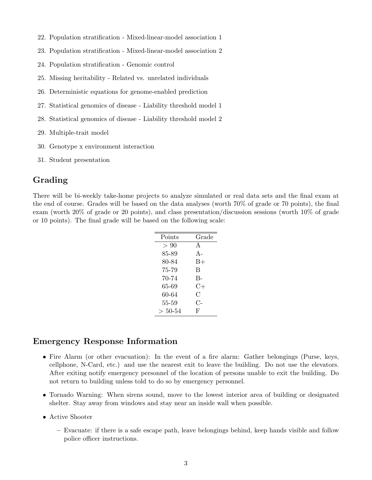- 22. Population stratification Mixed-linear-model association 1
- 23. Population stratification Mixed-linear-model association 2
- 24. Population stratification Genomic control
- 25. Missing heritability Related vs. unrelated individuals
- 26. Deterministic equations for genome-enabled prediction
- 27. Statistical genomics of disease Liability threshold model 1
- 28. Statistical genomics of disease Liability threshold model 2
- 29. Multiple-trait model
- 30. Genotype x environment interaction
- 31. Student presentation

## Grading

There will be bi-weekly take-home projects to analyze simulated or real data sets and the final exam at the end of course. Grades will be based on the data analyses (worth 70% of grade or 70 points), the final exam (worth 20% of grade or 20 points), and class presentation/discussion sessions (worth 10% of grade or 10 points). The final grade will be based on the following scale:

| Points    | Grade         |
|-----------|---------------|
| > 90      | $\mathsf{A}$  |
| 85-89     | $A -$         |
| 80-84     | $_{\rm B+}$   |
| 75-79     | B             |
| 70-74     | $B -$         |
| 65-69     | $C+$          |
| 60-64     | $\mathcal{C}$ |
| 55-59     | $C_{\Xi}$     |
| $> 50-54$ | F             |

#### Emergency Response Information

- Fire Alarm (or other evacuation): In the event of a fire alarm: Gather belongings (Purse, keys, cellphone, N-Card, etc.) and use the nearest exit to leave the building. Do not use the elevators. After exiting notify emergency personnel of the location of persons unable to exit the building. Do not return to building unless told to do so by emergency personnel.
- Tornado Warning: When sirens sound, move to the lowest interior area of building or designated shelter. Stay away from windows and stay near an inside wall when possible.
- Active Shooter
	- Evacuate: if there is a safe escape path, leave belongings behind, keep hands visible and follow police officer instructions.